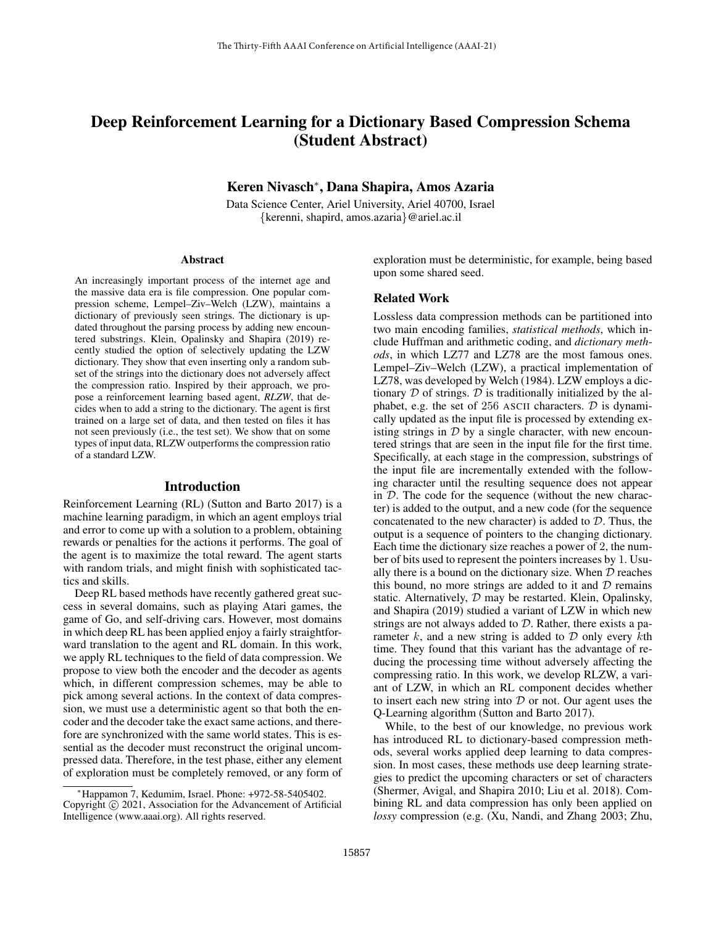# Deep Reinforcement Learning for a Dictionary Based Compression Schema (Student Abstract)

## Keren Nivasch<sup>∗</sup> , Dana Shapira, Amos Azaria

Data Science Center, Ariel University, Ariel 40700, Israel {kerenni, shapird, amos.azaria}@ariel.ac.il

#### Abstract

An increasingly important process of the internet age and the massive data era is file compression. One popular compression scheme, Lempel–Ziv–Welch (LZW), maintains a dictionary of previously seen strings. The dictionary is updated throughout the parsing process by adding new encountered substrings. Klein, Opalinsky and Shapira (2019) recently studied the option of selectively updating the LZW dictionary. They show that even inserting only a random subset of the strings into the dictionary does not adversely affect the compression ratio. Inspired by their approach, we propose a reinforcement learning based agent, *RLZW*, that decides when to add a string to the dictionary. The agent is first trained on a large set of data, and then tested on files it has not seen previously (i.e., the test set). We show that on some types of input data, RLZW outperforms the compression ratio of a standard LZW.

#### Introduction

Reinforcement Learning (RL) (Sutton and Barto 2017) is a machine learning paradigm, in which an agent employs trial and error to come up with a solution to a problem, obtaining rewards or penalties for the actions it performs. The goal of the agent is to maximize the total reward. The agent starts with random trials, and might finish with sophisticated tactics and skills.

Deep RL based methods have recently gathered great success in several domains, such as playing Atari games, the game of Go, and self-driving cars. However, most domains in which deep RL has been applied enjoy a fairly straightforward translation to the agent and RL domain. In this work, we apply RL techniques to the field of data compression. We propose to view both the encoder and the decoder as agents which, in different compression schemes, may be able to pick among several actions. In the context of data compression, we must use a deterministic agent so that both the encoder and the decoder take the exact same actions, and therefore are synchronized with the same world states. This is essential as the decoder must reconstruct the original uncompressed data. Therefore, in the test phase, either any element of exploration must be completely removed, or any form of exploration must be deterministic, for example, being based upon some shared seed.

#### Related Work

Lossless data compression methods can be partitioned into two main encoding families, *statistical methods*, which include Huffman and arithmetic coding, and *dictionary methods*, in which LZ77 and LZ78 are the most famous ones. Lempel–Ziv–Welch (LZW), a practical implementation of LZ78, was developed by Welch (1984). LZW employs a dictionary  $D$  of strings.  $D$  is traditionally initialized by the alphabet, e.g. the set of 256 ASCII characters.  $D$  is dynamically updated as the input file is processed by extending existing strings in  $D$  by a single character, with new encountered strings that are seen in the input file for the first time. Specifically, at each stage in the compression, substrings of the input file are incrementally extended with the following character until the resulting sequence does not appear in D. The code for the sequence (without the new character) is added to the output, and a new code (for the sequence concatenated to the new character) is added to  $D$ . Thus, the output is a sequence of pointers to the changing dictionary. Each time the dictionary size reaches a power of 2, the number of bits used to represent the pointers increases by 1. Usually there is a bound on the dictionary size. When  $D$  reaches this bound, no more strings are added to it and  $D$  remains static. Alternatively, D may be restarted. Klein, Opalinsky, and Shapira (2019) studied a variant of LZW in which new strings are not always added to  $D$ . Rather, there exists a parameter  $k$ , and a new string is added to  $D$  only every  $k$ th time. They found that this variant has the advantage of reducing the processing time without adversely affecting the compressing ratio. In this work, we develop RLZW, a variant of LZW, in which an RL component decides whether to insert each new string into  $D$  or not. Our agent uses the Q-Learning algorithm (Sutton and Barto 2017).

While, to the best of our knowledge, no previous work has introduced RL to dictionary-based compression methods, several works applied deep learning to data compression. In most cases, these methods use deep learning strategies to predict the upcoming characters or set of characters (Shermer, Avigal, and Shapira 2010; Liu et al. 2018). Combining RL and data compression has only been applied on *lossy* compression (e.g. (Xu, Nandi, and Zhang 2003; Zhu,

<sup>∗</sup>Happamon 7, Kedumim, Israel. Phone: +972-58-5405402. Copyright © 2021, Association for the Advancement of Artificial Intelligence (www.aaai.org). All rights reserved.